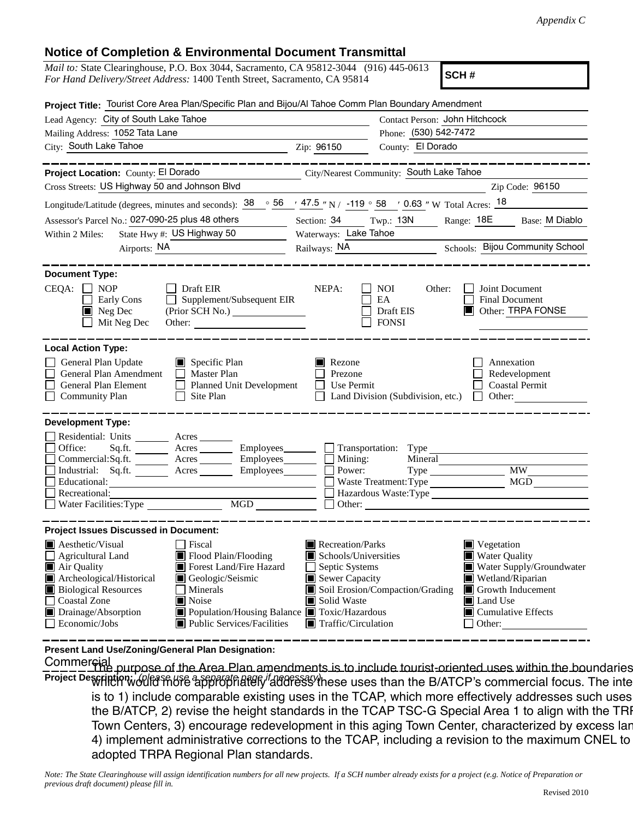## **Notice of Completion & Environmental Document Transmittal**

| <u>Nulle of Completion &amp; Environmental Document Fransmittal</u>                                                                                                                                                                                                                                                                                             |                                                                                                                                                      |                                                                                                                                                                                                                            |  |  |  |
|-----------------------------------------------------------------------------------------------------------------------------------------------------------------------------------------------------------------------------------------------------------------------------------------------------------------------------------------------------------------|------------------------------------------------------------------------------------------------------------------------------------------------------|----------------------------------------------------------------------------------------------------------------------------------------------------------------------------------------------------------------------------|--|--|--|
| <i>Mail to:</i> State Clearinghouse, P.O. Box 3044, Sacramento, CA 95812-3044 (916) 445-0613<br>SCH#<br>For Hand Delivery/Street Address: 1400 Tenth Street, Sacramento, CA 95814                                                                                                                                                                               |                                                                                                                                                      |                                                                                                                                                                                                                            |  |  |  |
| Project Title: Tourist Core Area Plan/Specific Plan and Bijou/Al Tahoe Comm Plan Boundary Amendment                                                                                                                                                                                                                                                             |                                                                                                                                                      |                                                                                                                                                                                                                            |  |  |  |
| Lead Agency: City of South Lake Tahoe                                                                                                                                                                                                                                                                                                                           |                                                                                                                                                      | Contact Person: John Hitchcock                                                                                                                                                                                             |  |  |  |
| Mailing Address: 1052 Tata Lane                                                                                                                                                                                                                                                                                                                                 |                                                                                                                                                      | Phone: (530) 542-7472                                                                                                                                                                                                      |  |  |  |
| City: South Lake Tahoe                                                                                                                                                                                                                                                                                                                                          | Zip: 96150                                                                                                                                           | County: El Dorado                                                                                                                                                                                                          |  |  |  |
| Project Location: County: El Dorado                                                                                                                                                                                                                                                                                                                             | City/Nearest Community: South Lake Tahoe                                                                                                             |                                                                                                                                                                                                                            |  |  |  |
| Cross Streets: US Highway 50 and Johnson Blvd                                                                                                                                                                                                                                                                                                                   |                                                                                                                                                      | Zip Code: 96150                                                                                                                                                                                                            |  |  |  |
| Longitude/Latitude (degrees, minutes and seconds): $38 \degree 56$ / $47.5$ "N / -119 $\degree 58$ / 0.63 "W Total Acres: 18                                                                                                                                                                                                                                    |                                                                                                                                                      |                                                                                                                                                                                                                            |  |  |  |
| Assessor's Parcel No.: 027-090-25 plus 48 others                                                                                                                                                                                                                                                                                                                |                                                                                                                                                      | Section: 34 Twp.: 13N Range: 18E Base: M Diablo                                                                                                                                                                            |  |  |  |
| State Hwy #: US Highway 50<br>Within 2 Miles:                                                                                                                                                                                                                                                                                                                   |                                                                                                                                                      | Waterways: Lake Tahoe                                                                                                                                                                                                      |  |  |  |
| Airports: NA                                                                                                                                                                                                                                                                                                                                                    |                                                                                                                                                      | Railways: NA Schools: Bijou Community School                                                                                                                                                                               |  |  |  |
| <b>Document Type:</b>                                                                                                                                                                                                                                                                                                                                           |                                                                                                                                                      |                                                                                                                                                                                                                            |  |  |  |
| $CEQA: \Box$<br><b>NOP</b><br>Draft EIR<br>$\Box$ Supplement/Subsequent EIR<br>Early Cons<br>$\blacksquare$ Neg Dec<br>Mit Neg Dec<br>Other: $\qquad \qquad$                                                                                                                                                                                                    | NEPA:                                                                                                                                                | Joint Document<br>NOI<br>Other:<br><b>Final Document</b><br>EA<br>Other: TRPA FONSE<br>Draft EIS<br><b>FONSI</b>                                                                                                           |  |  |  |
| <b>Local Action Type:</b><br>General Plan Update<br>$\Box$ Specific Plan                                                                                                                                                                                                                                                                                        | $\blacksquare$ Rezone                                                                                                                                | Annexation                                                                                                                                                                                                                 |  |  |  |
| General Plan Amendment<br>$\Box$ Master Plan<br>Planned Unit Development<br>General Plan Element<br><b>Community Plan</b><br>Site Plan                                                                                                                                                                                                                          | Prezone<br>Use Permit                                                                                                                                | Redevelopment<br><b>Coastal Permit</b><br>Land Division (Subdivision, etc.)<br>Other:<br>$\perp$                                                                                                                           |  |  |  |
| <b>Development Type:</b>                                                                                                                                                                                                                                                                                                                                        |                                                                                                                                                      |                                                                                                                                                                                                                            |  |  |  |
| Residential: Units ________ Acres _______                                                                                                                                                                                                                                                                                                                       |                                                                                                                                                      |                                                                                                                                                                                                                            |  |  |  |
| Sq.ft. _______ Acres ________ Employees _______ __ Transportation: Type<br>Office:<br>Commercial:Sq.ft. Acres Employees                                                                                                                                                                                                                                         | Mining:                                                                                                                                              | Mineral                                                                                                                                                                                                                    |  |  |  |
| Industrial: Sq.ft. Acres Employees Employees                                                                                                                                                                                                                                                                                                                    | Power:                                                                                                                                               | <b>MW</b>                                                                                                                                                                                                                  |  |  |  |
| Educational:                                                                                                                                                                                                                                                                                                                                                    |                                                                                                                                                      | MGD<br>Waste Treatment: Type                                                                                                                                                                                               |  |  |  |
| Recreational:                                                                                                                                                                                                                                                                                                                                                   |                                                                                                                                                      | Hazardous Waste:Type                                                                                                                                                                                                       |  |  |  |
| Water Facilities: Type<br>MGD                                                                                                                                                                                                                                                                                                                                   |                                                                                                                                                      | Other:                                                                                                                                                                                                                     |  |  |  |
| <b>Project Issues Discussed in Document:</b>                                                                                                                                                                                                                                                                                                                    |                                                                                                                                                      |                                                                                                                                                                                                                            |  |  |  |
| $\blacksquare$ Aesthetic/Visual<br>Fiscal<br><b>Agricultural Land</b><br>Flood Plain/Flooding<br>Forest Land/Fire Hazard<br>Air Quality<br>Geologic/Seismic<br>Archeological/Historical<br><b>Biological Resources</b><br>Minerals<br>Coastal Zone<br>Noise<br>Drainage/Absorption<br>Population/Housing Balance<br>Public Services/Facilities<br>Economic/Jobs | Recreation/Parks<br>Schools/Universities<br>Septic Systems<br>Sewer Capacity<br>Solid Waste<br>Toxic/Hazardous<br>$\blacksquare$ Traffic/Circulation | $\blacksquare$ Vegetation<br><b>Water Quality</b><br>Water Supply/Groundwater<br>Wetland/Riparian<br>Soil Erosion/Compaction/Grading<br>Growth Inducement<br>Land Use<br>IЦ<br>$\blacksquare$ Cumulative Effects<br>Other: |  |  |  |

**Present Land Use/Zoning/General Plan Designation:**

Project Description; *(please use a separate affere* of the face of the ses than the B/ATCP's commercial focus. The inte Commercial<br>\_\_\_\_\_\_\_\_ne the purpose of the Area Plan amendments is to include tourist-oriented uses within the boundaries is to 1) include comparable existing uses in the TCAP, which more effectively addresses such uses the B/ATCP, 2) revise the height standards in the TCAP TSC-G Special Area 1 to align with the TRI Town Centers, 3) encourage redevelopment in this aging Town Center, characterized by excess lar 4) implement administrative corrections to the TCAP, including a revision to the maximum CNEL to adopted TRPA Regional Plan standards.

*Note: The State Clearinghouse will assign identification numbers for all new projects. If a SCH number already exists for a project (e.g. Notice of Preparation or previous draft document) please fill in.*